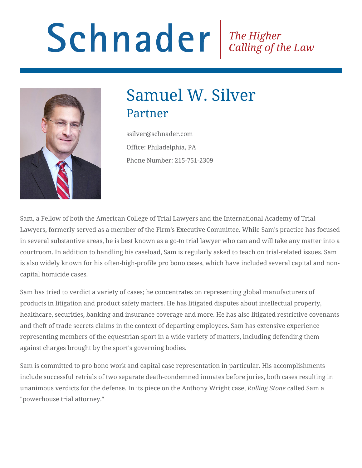# Schnader Fine Higher Calling of the Law



## Samuel W. Silver Partner

ssilver@schnader.com Office: Philadelphia, PA Phone Number: 215-751-2309

Sam, a Fellow of both the American College of Trial Lawyers and the International Academy of Trial Lawyers, formerly served as a member of the Firm's Executive Committee. While Sam's practice has focused in several substantive areas, he is best known as a go-to trial lawyer who can and will take any matter into a courtroom. In addition to handling his caseload, Sam is regularly asked to teach on trial-related issues. Sam is also widely known for his often-high-profile pro bono cases, which have included several capital and noncapital homicide cases.

Sam has tried to verdict a variety of cases; he concentrates on representing global manufacturers of products in litigation and product safety matters. He has litigated disputes about intellectual property, healthcare, securities, banking and insurance coverage and more. He has also litigated restrictive covenants and theft of trade secrets claims in the context of departing employees. Sam has extensive experience representing members of the equestrian sport in a wide variety of matters, including defending them against charges brought by the sport's governing bodies.

Sam is committed to pro bono work and capital case representation in particular. His accomplishments include successful retrials of two separate death-condemned inmates before juries, both cases resulting in unanimous verdicts for the defense. In its piece on the Anthony Wright case, *Rolling Stone* called Sam a "powerhouse trial attorney."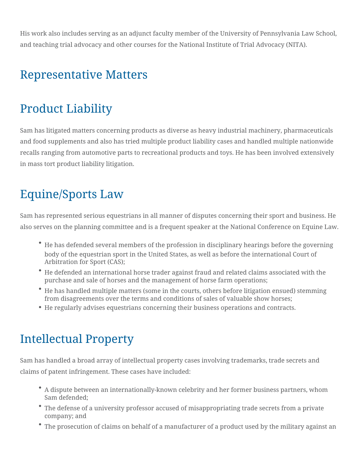His work also includes serving as an adjunct faculty member of the University of Pennsylvania Law School, and teaching trial advocacy and other courses for the National Institute of Trial Advocacy (NITA).

#### Representative Matters

## Product Liability

Sam has litigated matters concerning products as diverse as heavy industrial machinery, pharmaceuticals and food supplements and also has tried multiple product liability cases and handled multiple nationwide recalls ranging from automotive parts to recreational products and toys. He has been involved extensively in mass tort product liability litigation.

## Equine/Sports Law

Sam has represented serious equestrians in all manner of disputes concerning their sport and business. He also serves on the planning committee and is a frequent speaker at the National Conference on Equine Law.

- He has defended several members of the profession in disciplinary hearings before the governing body of the equestrian sport in the United States, as well as before the international Court of Arbitration for Sport (CAS);
- $\degree$  He defended an international horse trader against fraud and related claims associated with the purchase and sale of horses and the management of horse farm operations;
- He has handled multiple matters (some in the courts, others before litigation ensued) stemming from disagreements over the terms and conditions of sales of valuable show horses;
- He regularly advises equestrians concerning their business operations and contracts.

## Intellectual Property

Sam has handled a broad array of intellectual property cases involving trademarks, trade secrets and claims of patent infringement. These cases have included:

- A dispute between an internationally-known celebrity and her former business partners, whom Sam defended;
- The defense of a university professor accused of misappropriating trade secrets from a private company; and
- The prosecution of claims on behalf of a manufacturer of a product used by the military against an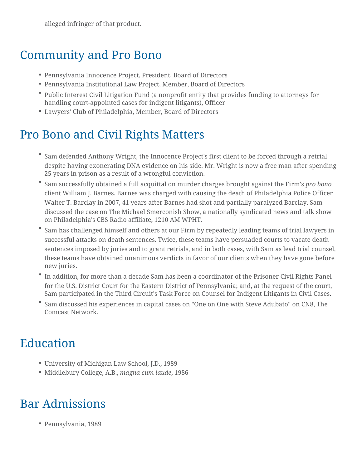alleged infringer of that product.

### Community and Pro Bono

- Pennsylvania Innocence Project, President, Board of Directors
- Pennsylvania Institutional Law Project, Member, Board of Directors
- Public Interest Civil Litigation Fund (a nonprofit entity that provides funding to attorneys for handling court-appointed cases for indigent litigants), Officer
- Lawyers' Club of Philadelphia, Member, Board of Directors

## Pro Bono and Civil Rights Matters

- Sam defended Anthony Wright, the Innocence Project's first client to be forced through a retrial despite having exonerating DNA evidence on his side. Mr. Wright is now a free man after spending 25 years in prison as a result of a wrongful conviction.
- Sam successfully obtained a full acquittal on murder charges brought against the Firm's *pro bono* client William J. Barnes. Barnes was charged with causing the death of Philadelphia Police Officer Walter T. Barclay in 2007, 41 years after Barnes had shot and partially paralyzed Barclay. Sam discussed the case on The Michael Smerconish Show, a nationally syndicated news and talk show on Philadelphia's CBS Radio affiliate, 1210 AM WPHT.
- Sam has challenged himself and others at our Firm by repeatedly leading teams of trial lawyers in successful attacks on death sentences. Twice, these teams have persuaded courts to vacate death sentences imposed by juries and to grant retrials, and in both cases, with Sam as lead trial counsel, these teams have obtained unanimous verdicts in favor of our clients when they have gone before new juries.
- In addition, for more than a decade Sam has been a coordinator of the Prisoner Civil Rights Panel for the U.S. District Court for the Eastern District of Pennsylvania; and, at the request of the court, Sam participated in the Third Circuit's Task Force on Counsel for Indigent Litigants in Civil Cases.
- Sam discussed his experiences in capital cases on "One on One with Steve Adubato" on CN8, The Comcast Network.

## Education

- University of Michigan Law School, J.D., 1989
- Middlebury College, A.B., *magna cum laude*, 1986

#### Bar Admissions

Pennsylvania, 1989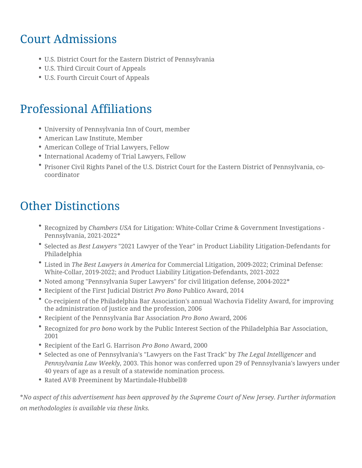#### Court Admissions

- U.S. District Court for the Eastern District of Pennsylvania
- U.S. Third Circuit Court of Appeals
- U.S. Fourth Circuit Court of Appeals

#### Professional Affiliations

- University of Pennsylvania Inn of Court, member
- American Law Institute, Member
- American College of Trial Lawyers, Fellow
- International Academy of Trial Lawyers, Fellow
- <sup>.</sup> Prisoner Civil Rights Panel of the U.S. District Court for the Eastern D coordinator

#### Other Distinctions

- Recognize 6 hbaym bers UcGrALitigation: White-Collar Crime & Government In Pennsylvania, 2021-2022\*
- Selected Bast Lawy 2021 Lawyer of the Year" in Product Liability Litigation Philadelphia
- $^{\bullet}$  Listed Time Best Lawyers infoAmCeormicmaercial Litigation, 2009-2022; Crimina White-Collar, 2019-2022; and Product Liability Litigation-Defendants, 2
- Noted among "Pennsylvania Super Lawyers" for civil litigation defense,
- $\bullet$  Recipient of the First Jud-Pico a Bol Prosit Licato Award, 2014
- <sup>.</sup> Co-recipient of the Philadelphia Bar Association's annual Wachovia Fid the administration of justice and the profession, 2006
- $\bullet$  Recipient of the Pennsylvania EPap ABsostAcong bartdon 2006
- $^\bullet$  Recognize $\phi$  rfcorbonwoork by the Public Interest Section of the Philadelphia 2001
- Recipient of the Earl **G**.rd Bornham and, 2000
- $\bullet$  Selected as one of Pennsylvania's "LawyersTohne theeg Falasht Teinbanken beyr Pennsylvania Law  $2\sqrt{0}$   $\theta$   $8k$  k  $\sqrt{0}$  his honor was conferred upon 29 of Pennsylva 40 years of age as a result of a statewide nomination process.
- Rated AV® Preeminent by Martindale-Hubbell®

\*No aspect of this advertisement has been approved by the Supreme Court of on methodologies is availaimlesvia these